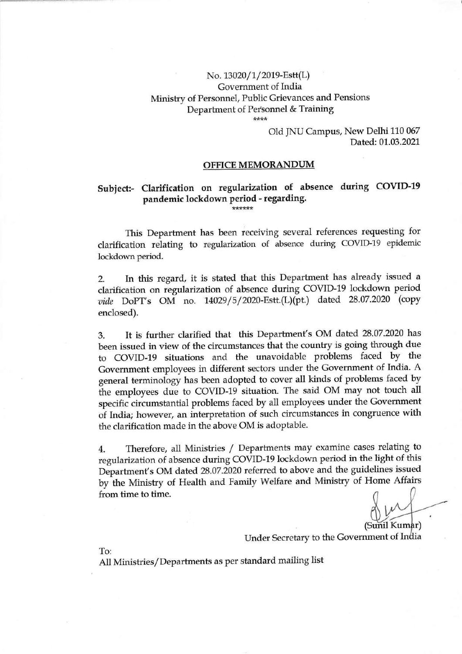### No. 13020/1/2019-Estt(L) Government of India Ministry of Personnel, Public Grievances and Pensions Department of Personnel & Training

\*\*\*\*

#### Old JNU Campus, New Delhi 110 067 Dated: 01.03.2021

#### **OFFICE MEMORANDUM**

## **Subject:- Clarification on regularization of absence during COVID-19 pandemic lockdown period - regarding.**

\*\*\*\*\*\*

This Department has been receiving several references requesting for clarification relating to regularization of absence during COVID-19 epidemic lockdown period.

2. In this regard, it is stated that this Department has already issued a clarification on regularization of absence during COVID-19 lockdown period *vide* DoPT's OM no. 14029/5/2020-Estt.(L)(pt.) dated 28.07.2020 (copy enclosed).

3. It is further clarified that this Department's OM dated 28.07.2020 has been issued in view of the circumstances that the country is going through due to COVID-19 situations and the unavoidable problems faced by the Government employees in different sectors under the Government of India. A general terminology has been adopted to cover all kinds of problems faced by the employees due to COVID-19 situation. The said OM may not touch all specific circumstantial problems faced by all employees under the Government of India; however, an interpretation of such circumstances in congruence with the clarification made in the above OM is adoptable.

4. Therefore, all Ministries / Departments may examine cases relating to regularization of absence during COVID-19 lockdown period in the light of this Department's OM dated 28.07.2020 referred to above and the guidelines issued by the Ministry of Health and Family Welfare and Ministry of Home Affairs **from time to time.** *&>.* 

(Sunil Kumar)

Under Secretary to the Government of India

To:

All Ministries/Departments as per standard mailing list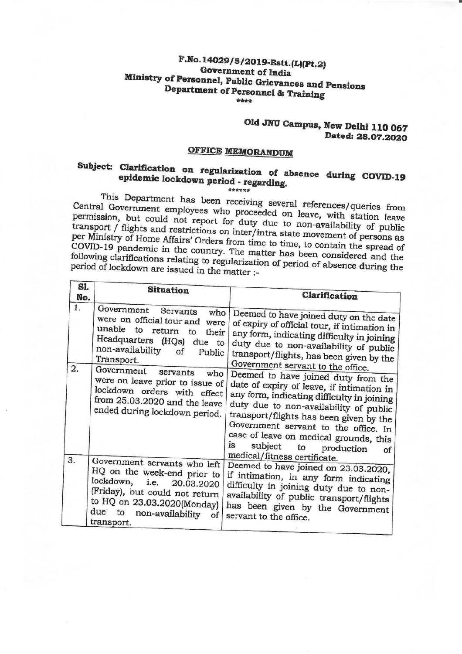#### **F.No.14029/5/2019-Estt.(L)(Pt.2) Government of India Ministry of Personnel, Public Grievances and Pensions Department of Personnel & Training**  \*\*\*\*

## **Old JNU Campus, New Delhi 110 067 Dated: 28.07.2020**

•

## **OFFICE MEMORANDUM**

# **Subject: Clarification on regularization of absence during COVID-19 epidemic lockdown period - regarding.**

\*\*\*\*\*\* This Department has been receiving several references/queries from Central Government employees who proceeded on leave, with station leave permission, but could not report for duty due to non-availability of public transport/ flights and restrictions on inter/intra state movement of persons as per Ministry of Home Affairs' Orders from time to time, to contain the spread of COVID-19 pandemic in the country. The matter has been considered and the following clarifications relating to regularization of period of absence during the period of lockdown are issued in the matter :-

| Sl.<br>No. | <b>Situation</b>                                                                                                                                                                                            | Clarification                                                                                                                                                                                                                                                                                                                                                                         |
|------------|-------------------------------------------------------------------------------------------------------------------------------------------------------------------------------------------------------------|---------------------------------------------------------------------------------------------------------------------------------------------------------------------------------------------------------------------------------------------------------------------------------------------------------------------------------------------------------------------------------------|
| 1.         | Government<br>Servants<br>who<br>were on official tour and<br>were<br>unable<br>to<br>return<br>to<br>their<br>Headquarters (HQs) due to<br>non-availability<br>οf<br>Public<br>Transport.                  | Deemed to have joined duty on the date<br>of expiry of official tour, if intimation in<br>any form, indicating difficulty in joining<br>duty due to non-availability of public<br>transport/flights, has been given by the                                                                                                                                                            |
| 2.         | Government<br>servants<br>who<br>were on leave prior to issue of<br>lockdown orders with effect<br>from 25.03.2020 and the leave<br>ended during lockdown period.                                           | Government servant to the office.<br>Deemed to have joined duty from the<br>date of expiry of leave, if intimation in<br>any form, indicating difficulty in joining<br>duty due to non-availability of public<br>transport/flights has been given by the<br>Government servant to the office. In<br>case of leave on medical grounds, this<br>1S<br>subject<br>to<br>production<br>of |
| 3.         | Government servants who left<br>HQ on the week-end prior to<br>lockdown, i.e. 20.03.2020<br>(Friday), but could not return<br>to HQ on 23.03.2020(Monday)<br>due to<br>non-availability<br>of<br>transport. | medical/fitness certificate.<br>Deemed to have joined on 23.03.2020,<br>if intimation, in any form indicating<br>difficulty in joining duty due to non-<br>availability of public transport/flights<br>has been given by the Government<br>servant to the office.                                                                                                                     |